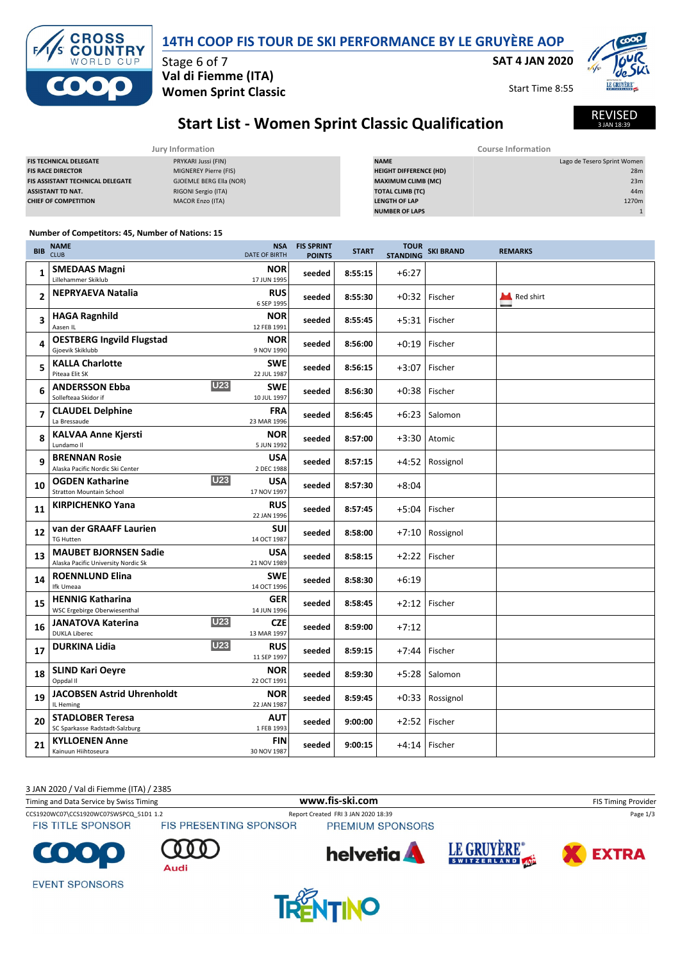|  | 14TH COOP FIS TOUR DE SKI PERFORMANCE BY LE GRUYÈRE AOP |  |
|--|---------------------------------------------------------|--|
|--|---------------------------------------------------------|--|

**SAT 4 JAN 2020**



Start Time 8:55



REVISED AN 18:3

# **Start List - Women Sprint Classic Qualification**

| Jury Information                        |                         | Course Information            |                             |  |
|-----------------------------------------|-------------------------|-------------------------------|-----------------------------|--|
| <b>FIS TECHNICAL DELEGATE</b>           | PRYKARI Jussi (FIN)     | <b>NAME</b>                   | Lago de Tesero Sprint Women |  |
| <b>FIS RACE DIRECTOR</b>                | MIGNEREY Pierre (FIS)   | <b>HEIGHT DIFFERENCE (HD)</b> | 28m                         |  |
| <b>FIS ASSISTANT TECHNICAL DELEGATE</b> | GJOEMLE BERG Ella (NOR) | <b>MAXIMUM CLIMB (MC)</b>     | 23m                         |  |
| <b>ASSISTANT TD NAT.</b>                | RIGONI Sergio (ITA)     | <b>TOTAL CLIMB (TC)</b>       | 44m                         |  |
| <b>CHIEF OF COMPETITION</b>             | MACOR Enzo (ITA)        | <b>LENGTH OF LAP</b>          | 1270m                       |  |
|                                         |                         | <b>NUMBER OF LAPS</b>         |                             |  |

### **Number of Competitors: 45, Number of Nations: 15**

Stage 6 of 7

**Val di Fiemme (ITA) Women Sprint Classic**

| <b>BIB</b>     | <b>NAME</b><br><b>CLUB</b>                                              | <b>NSA</b><br><b>DATE OF BIRTH</b> | <b>FIS SPRINT</b><br><b>POINTS</b> | <b>START</b> | <b>TOUR</b><br><b>STANDING</b> | <b>SKI BRAND</b> | <b>REMARKS</b> |
|----------------|-------------------------------------------------------------------------|------------------------------------|------------------------------------|--------------|--------------------------------|------------------|----------------|
| 1              | <b>SMEDAAS Magni</b><br>Lillehammer Skiklub                             | <b>NOR</b><br>17 JUN 1995          | seeded                             | 8:55:15      | $+6:27$                        |                  |                |
| $\overline{2}$ | <b>NEPRYAEVA Natalia</b>                                                | <b>RUS</b><br>6 SEP 1995           | seeded                             | 8:55:30      |                                | $+0.32$ Fischer  | Red shirt      |
| 3              | <b>HAGA Ragnhild</b><br>Aasen IL                                        | <b>NOR</b><br>12 FEB 1991          | seeded                             | 8:55:45      |                                | +5:31 Fischer    |                |
| 4              | <b>OESTBERG Ingvild Flugstad</b><br>Gjoevik Skiklubb                    | <b>NOR</b><br>9 NOV 1990           | seeded                             | 8:56:00      |                                | $+0.19$ Fischer  |                |
| 5              | <b>KALLA Charlotte</b><br>Piteaa Elit SK                                | <b>SWE</b><br>22 JUL 1987          | seeded                             | 8:56:15      |                                | +3:07 Fischer    |                |
| 6              | <b>U23</b><br><b>ANDERSSON Ebba</b><br>Sollefteaa Skidor if             | <b>SWE</b><br>10 JUL 1997          | seeded                             | 8:56:30      |                                | +0:38 Fischer    |                |
| $\overline{7}$ | <b>CLAUDEL Delphine</b><br>La Bressaude                                 | <b>FRA</b><br>23 MAR 1996          | seeded                             | 8:56:45      |                                | $+6:23$ Salomon  |                |
| 8              | <b>KALVAA Anne Kjersti</b><br>Lundamo II                                | <b>NOR</b><br>5 JUN 1992           | seeded                             | 8:57:00      |                                | +3:30 Atomic     |                |
| 9              | <b>BRENNAN Rosie</b><br>Alaska Pacific Nordic Ski Center                | <b>USA</b><br>2 DEC 1988           | seeded                             | 8:57:15      |                                | +4:52 Rossignol  |                |
| 10             | <b>U23</b><br><b>OGDEN Katharine</b><br><b>Stratton Mountain School</b> | <b>USA</b><br>17 NOV 1997          | seeded                             | 8:57:30      | $+8:04$                        |                  |                |
| 11             | <b>KIRPICHENKO Yana</b>                                                 | <b>RUS</b><br>22 JAN 1996          | seeded                             | 8:57:45      |                                | +5:04 Fischer    |                |
| 12             | van der GRAAFF Laurien<br><b>TG Hutten</b>                              | SUI<br>14 OCT 1987                 | seeded                             | 8:58:00      |                                | +7:10 Rossignol  |                |
| 13             | <b>MAUBET BJORNSEN Sadie</b><br>Alaska Pacific University Nordic Sk     | <b>USA</b><br>21 NOV 1989          | seeded                             | 8:58:15      |                                | +2:22 Fischer    |                |
| 14             | <b>ROENNLUND Elina</b><br>Ifk Umeaa                                     | <b>SWE</b><br>14 OCT 1996          | seeded                             | 8:58:30      | $+6:19$                        |                  |                |
| 15             | <b>HENNIG Katharina</b><br>WSC Ergebirge Oberwiesenthal                 | <b>GER</b><br>14 JUN 1996          | seeded                             | 8:58:45      |                                | $+2:12$ Fischer  |                |
| 16             | <b>U23</b><br><b>JANATOVA Katerina</b><br><b>DUKLA Liberec</b>          | <b>CZE</b><br>13 MAR 1997          | seeded                             | 8:59:00      | $+7:12$                        |                  |                |
| 17             | <b>U23</b><br><b>DURKINA Lidia</b>                                      | <b>RUS</b><br>11 SEP 1997          | seeded                             | 8:59:15      |                                | +7:44 Fischer    |                |
| 18             | <b>SLIND Kari Oeyre</b><br>Oppdal II                                    | <b>NOR</b><br>22 OCT 1991          | seeded                             | 8:59:30      |                                | +5:28 Salomon    |                |
| 19             | <b>JACOBSEN Astrid Uhrenholdt</b><br>IL Heming                          | <b>NOR</b><br>22 JAN 1987          | seeded                             | 8:59:45      |                                | +0:33 Rossignol  |                |
| 20             | <b>STADLOBER Teresa</b><br>SC Sparkasse Radstadt-Salzburg               | <b>AUT</b><br>1 FEB 1993           | seeded                             | 9:00:00      |                                | $+2:52$ Fischer  |                |
| 21             | <b>KYLLOENEN Anne</b><br>Kainuun Hiihtoseura                            | <b>FIN</b><br>30 NOV 1987          | seeded                             | 9:00:15      |                                | +4:14 Fischer    |                |

3 JAN 2020 / Val di Fiemme (ITA) / 2385 Timing and Data Service by Swiss Timing **WWW.fis-Ski.com WWW.fis-Ski.com** FIS Timing Provider CCS1920WC07\CCS1920WC07SWSPCQ\_51D1 1.2 Report Created FRI 3 JAN 2020 18:39 Page 1/3<br>FIS TITLE SPONSOR FIS PRESENTING SPONSOR PREMIUM SPONSORS **FIS TITLE SPONSOR** PREMIUM SPONSORS

Audi





**EVENT SPONSORS** 

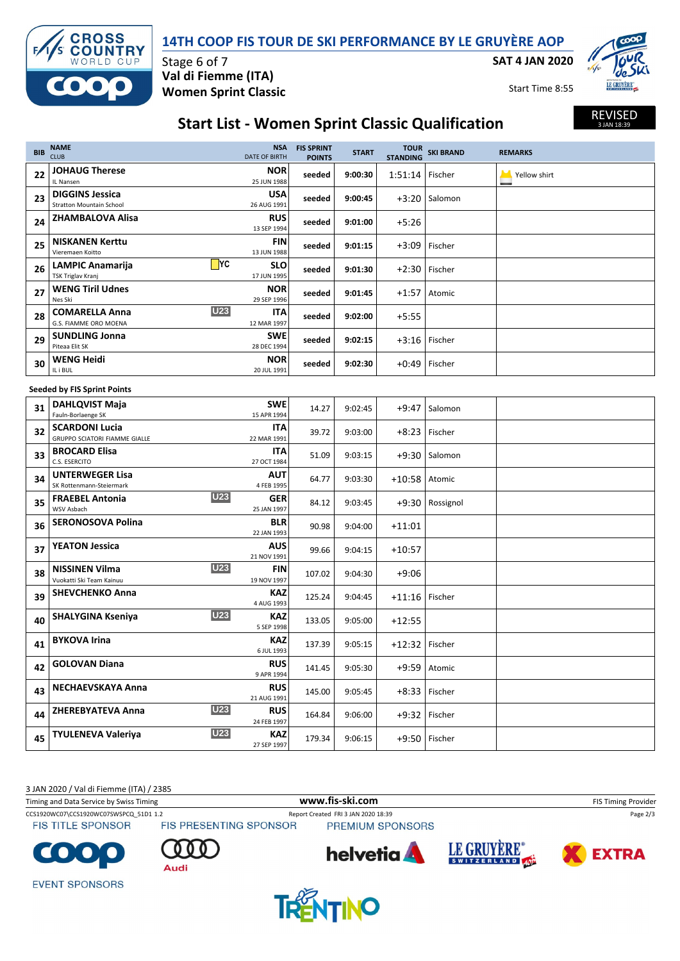

### **14TH COOP FIS TOUR DE SKI PERFORMANCE BY LE GRUYÈRE AOP**

**SAT 4 JAN 2020**

Start Time 8:55



REVISED 3 JAN 18:39

## **Start List - Women Sprint Classic Qualification**

| <b>BIB</b> | <b>NAME</b><br><b>CLUB</b>                                      | <b>NSA</b><br><b>DATE OF BIRTH</b> | <b>FIS SPRINT</b><br><b>POINTS</b> | <b>START</b> | <b>STANDING</b>   | TOUR SKI BRAND  | <b>REMARKS</b> |  |
|------------|-----------------------------------------------------------------|------------------------------------|------------------------------------|--------------|-------------------|-----------------|----------------|--|
| 22         | <b>JOHAUG Therese</b><br>IL Nansen                              | <b>NOR</b><br>25 JUN 1988          | seeded                             | 9:00:30      | $1:51:14$ Fischer |                 | Yellow shirt   |  |
| 23         | <b>DIGGINS Jessica</b><br><b>Stratton Mountain School</b>       | <b>USA</b><br>26 AUG 1991          | seeded                             | 9:00:45      |                   | $+3:20$ Salomon |                |  |
| 24         | ZHAMBALOVA Alisa                                                | <b>RUS</b><br>13 SEP 1994          | seeded                             | 9:01:00      | $+5:26$           |                 |                |  |
| 25         | <b>NISKANEN Kerttu</b><br>Vieremaen Koitto                      | FIN<br>13 JUN 1988                 | seeded                             | 9:01:15      |                   | +3:09 Fischer   |                |  |
| 26         | $\Box$ YC<br><b>LAMPIC Anamarija</b><br>TSK Triglav Kranj       | SLO<br>17 JUN 1995                 | seeded                             | 9:01:30      | $+2:30$           | Fischer         |                |  |
| 27         | <b>WENG Tiril Udnes</b><br>Nes Ski                              | <b>NOR</b><br>29 SEP 1996          | seeded                             | 9:01:45      | +1:57             | Atomic          |                |  |
| 28         | <b>U23</b><br><b>COMARELLA Anna</b><br>G.S. FIAMME ORO MOENA    | ITA<br>12 MAR 1997                 | seeded                             | 9:02:00      | $+5:55$           |                 |                |  |
| 29         | <b>SUNDLING Jonna</b><br>Piteaa Elit SK                         | <b>SWE</b><br>28 DEC 1994          | seeded                             | 9:02:15      |                   | $+3:16$ Fischer |                |  |
| 30         | <b>WENG Heidi</b><br>IL i BUL                                   | <b>NOR</b><br>20 JUL 1991          | seeded                             | 9:02:30      |                   | +0:49 Fischer   |                |  |
|            | <b>Seeded by FIS Sprint Points</b>                              |                                    |                                    |              |                   |                 |                |  |
| 31         | <b>DAHLQVIST Maja</b><br>Fauln-Borlaenge SK                     | <b>SWE</b><br>15 APR 1994          | 14.27                              | 9:02:45      | $+9:47$           | Salomon         |                |  |
| 32         | <b>SCARDONI Lucia</b><br><b>GRUPPO SCIATORI FIAMME GIALLE</b>   | ITA<br>22 MAR 1991                 | 39.72                              | 9:03:00      | $+8:23$           | Fischer         |                |  |
| 33         | <b>BROCARD Elisa</b><br>C.S. ESERCITO                           | ITA<br>27 OCT 1984                 | 51.09                              | 9:03:15      |                   | $+9:30$ Salomon |                |  |
| 34         | <b>UNTERWEGER Lisa</b><br>SK Rottenmann-Steiermark              | AUT<br>4 FEB 1995                  | 64.77                              | 9:03:30      | $+10:58$ Atomic   |                 |                |  |
| 35         | <b>U23</b><br><b>FRAEBEL Antonia</b><br>WSV Asbach              | <b>GER</b><br>25 JAN 1997          | 84.12                              | 9:03:45      |                   | +9:30 Rossignol |                |  |
| 36         | <b>SERONOSOVA Polina</b>                                        | <b>BLR</b><br>22 JAN 1993          | 90.98                              | 9:04:00      | $+11:01$          |                 |                |  |
| 37         | <b>YEATON Jessica</b>                                           | AUS<br>21 NOV 1991                 | 99.66                              | 9:04:15      | $+10:57$          |                 |                |  |
| 38         | <b>U23</b><br><b>NISSINEN Vilma</b><br>Vuokatti Ski Team Kainuu | FIN<br>19 NOV 1997                 | 107.02                             | 9:04:30      | $+9:06$           |                 |                |  |
| 39         | <b>SHEVCHENKO Anna</b>                                          | KAZ<br>4 AUG 1993                  | 125.24                             | 9:04:45      | $+11:16$          | Fischer         |                |  |
| 40         | <b>U23</b><br><b>SHALYGINA Kseniya</b>                          | KAZ<br>5 SEP 1998                  | 133.05                             | 9:05:00      | $+12:55$          |                 |                |  |
| 41         | <b>BYKOVA Irina</b>                                             | KAZ<br>6 JUL 1993                  | 137.39                             | 9:05:15      | $+12:32$ Fischer  |                 |                |  |
| 42         | <b>GOLOVAN Diana</b>                                            | <b>RUS</b><br>9 APR 1994           | 141.45                             | 9:05:30      |                   | $+9:59$ Atomic  |                |  |
| 43         | <b>NECHAEVSKAYA Anna</b>                                        | <b>RUS</b><br>21 AUG 1991          | 145.00                             | 9:05:45      |                   | +8:33 Fischer   |                |  |
| 44         | <b>U23</b><br>ZHEREBYATEVA Anna                                 | <b>RUS</b><br>24 FEB 1997          | 164.84                             | 9:06:00      | $+9:32$           | Fischer         |                |  |
| 45         | <b>U23</b><br><b>TYULENEVA Valeriya</b>                         | KAZ<br>27 SEP 1997                 | 179.34                             | 9:06:15      |                   | +9:50 Fischer   |                |  |

3 JAN 2020 / Val di Fiemme (ITA) / 2385

Timing and Data Service by Swiss Timing **WWW.fis-Ski.com WWW.fis-Ski.com** FIS Timing Provider

**FIS TITLE SPONSOR** 

CCS1920WC07\CCS1920WC07SWSPCQ\_51D1 1.2 Report Created FRI 3 JAN 2020 18:39 Page 2/3<br>FIS TITLE SPONSOR FIS PRESENTING SPONSOR PREMIUM SPONSORS



Audi







**EVENT SPONSORS**